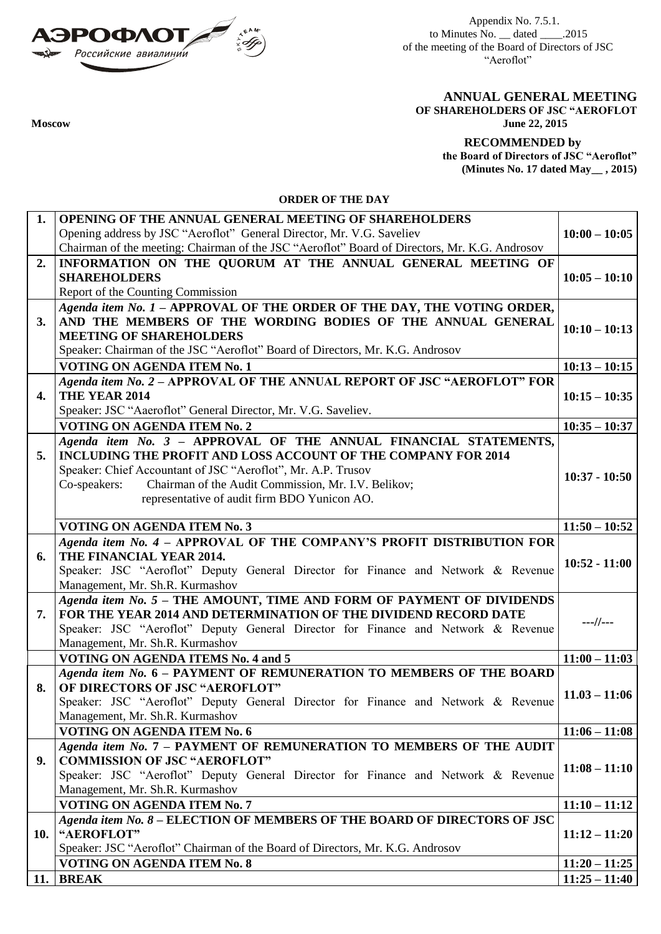

Appendix No. 7.5.1. to Minutes No.  $\_\_\$  dated  $\_\_\_\_\$ .2015 of the meeting of the Board of Directors of JSC "Aeroflot"

**ANNUAL GENERAL MEETING OF SHAREHOLDERS OF JSC "AEROFLOT Moscow June 22, 2015**

> **RECOMMENDED by the Board of Directors of JSC "Aeroflot" (Minutes No. 17 dated May\_\_ , 2015)**

**ORDER OF THE DAY**

| 1.  | <b>OPENING OF THE ANNUAL GENERAL MEETING OF SHAREHOLDERS</b>                                              |                 |
|-----|-----------------------------------------------------------------------------------------------------------|-----------------|
|     | Opening address by JSC "Aeroflot" General Director, Mr. V.G. Saveliev                                     | $10:00 - 10:05$ |
|     | Chairman of the meeting: Chairman of the JSC "Aeroflot" Board of Directors, Mr. K.G. Androsov             |                 |
| 2.  | INFORMATION ON THE QUORUM AT THE ANNUAL GENERAL MEETING OF                                                |                 |
|     | <b>SHAREHOLDERS</b>                                                                                       | $10:05 - 10:10$ |
|     | Report of the Counting Commission                                                                         |                 |
|     | Agenda item No. 1 - APPROVAL OF THE ORDER OF THE DAY, THE VOTING ORDER,                                   |                 |
| 3.  | AND THE MEMBERS OF THE WORDING BODIES OF THE ANNUAL GENERAL                                               | $10:10 - 10:13$ |
|     | <b>MEETING OF SHAREHOLDERS</b>                                                                            |                 |
|     | Speaker: Chairman of the JSC "Aeroflot" Board of Directors, Mr. K.G. Androsov                             |                 |
|     | VOTING ON AGENDA ITEM No. 1                                                                               | $10:13 - 10:15$ |
|     | Agenda item No. 2 - APPROVAL OF THE ANNUAL REPORT OF JSC "AEROFLOT" FOR                                   |                 |
| 4.  | THE YEAR 2014                                                                                             | $10:15 - 10:35$ |
|     | Speaker: JSC "Aaeroflot" General Director, Mr. V.G. Saveliev.                                             |                 |
|     | <b>VOTING ON AGENDA ITEM No. 2</b>                                                                        | $10:35 - 10:37$ |
|     | Agenda item No. 3 - APPROVAL OF THE ANNUAL FINANCIAL STATEMENTS,                                          |                 |
| 5.  | INCLUDING THE PROFIT AND LOSS ACCOUNT OF THE COMPANY FOR 2014                                             |                 |
|     | Speaker: Chief Accountant of JSC "Aeroflot", Mr. A.P. Trusov                                              | $10:37 - 10:50$ |
|     | Chairman of the Audit Commission, Mr. I.V. Belikov;<br>Co-speakers:                                       |                 |
|     | representative of audit firm BDO Yunicon AO.                                                              |                 |
|     | <b>VOTING ON AGENDA ITEM No. 3</b>                                                                        | $11:50 - 10:52$ |
|     | Agenda item No. 4 - APPROVAL OF THE COMPANY'S PROFIT DISTRIBUTION FOR                                     |                 |
| 6.  | THE FINANCIAL YEAR 2014.                                                                                  |                 |
|     | Speaker: JSC "Aeroflot" Deputy General Director for Finance and Network & Revenue                         | $10:52 - 11:00$ |
|     | Management, Mr. Sh.R. Kurmashov                                                                           |                 |
|     | Agenda item No. 5 - THE AMOUNT, TIME AND FORM OF PAYMENT OF DIVIDENDS                                     |                 |
| 7.  | FOR THE YEAR 2014 AND DETERMINATION OF THE DIVIDEND RECORD DATE                                           | $---//---$      |
|     | Speaker: JSC "Aeroflot" Deputy General Director for Finance and Network & Revenue                         |                 |
|     | Management, Mr. Sh.R. Kurmashov                                                                           |                 |
|     | <b>VOTING ON AGENDA ITEMS No. 4 and 5</b>                                                                 | $11:00 - 11:03$ |
|     | Agenda item No. 6 - PAYMENT OF REMUNERATION TO MEMBERS OF THE BOARD                                       |                 |
| 8.  | OF DIRECTORS OF JSC "AEROFLOT"                                                                            | $11.03 - 11:06$ |
|     | Speaker: JSC "Aeroflot" Deputy General Director for Finance and Network & Revenue                         |                 |
|     | Management, Mr. Sh.R. Kurmashov                                                                           |                 |
|     | <b>VOTING ON AGENDA ITEM No. 6</b><br>Agenda item No. 7 - PAYMENT OF REMUNERATION TO MEMBERS OF THE AUDIT | $11:06 - 11:08$ |
| 9.  | <b>COMMISSION OF JSC "AEROFLOT"</b>                                                                       |                 |
|     | Speaker: JSC "Aeroflot" Deputy General Director for Finance and Network & Revenue                         | $11:08 - 11:10$ |
|     | Management, Mr. Sh.R. Kurmashov                                                                           |                 |
|     | VOTING ON AGENDA ITEM No. 7                                                                               | $11:10 - 11:12$ |
|     | Agenda item No. 8 - ELECTION OF MEMBERS OF THE BOARD OF DIRECTORS OF JSC                                  |                 |
| 10. | "AEROFLOT"                                                                                                | $11:12 - 11:20$ |
|     | Speaker: JSC "Aeroflot" Chairman of the Board of Directors, Mr. K.G. Androsov                             |                 |
|     | <b>VOTING ON AGENDA ITEM No. 8</b>                                                                        | $11:20 - 11:25$ |
| 11. | <b>BREAK</b>                                                                                              | $11:25 - 11:40$ |
|     |                                                                                                           |                 |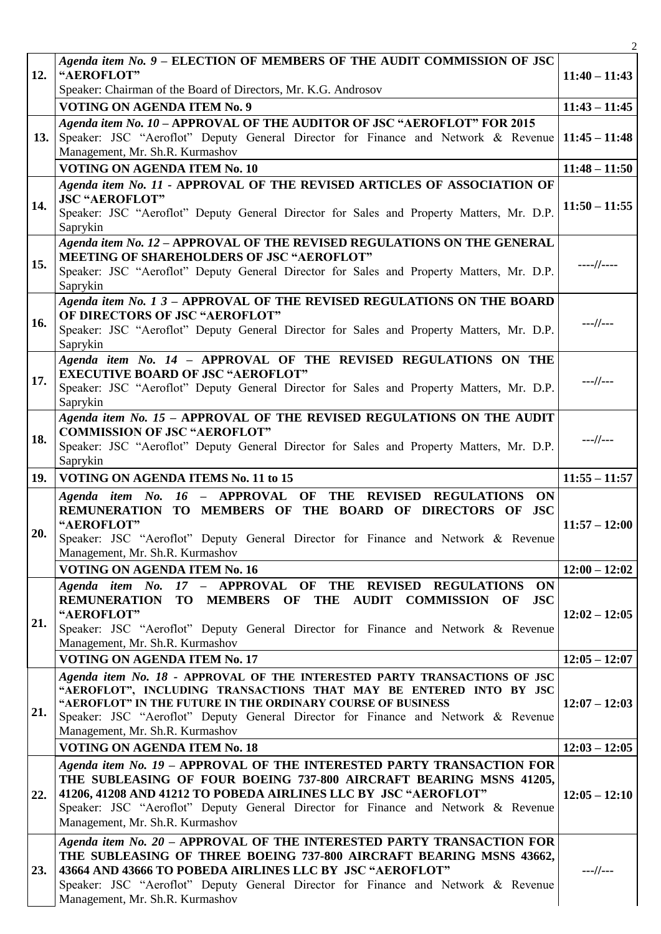|     |                                                                                                                                                      | $\overline{2}$  |
|-----|------------------------------------------------------------------------------------------------------------------------------------------------------|-----------------|
|     | Agenda item No. 9 - ELECTION OF MEMBERS OF THE AUDIT COMMISSION OF JSC                                                                               |                 |
| 12. | "AEROFLOT"                                                                                                                                           | $11:40 - 11:43$ |
|     | Speaker: Chairman of the Board of Directors, Mr. K.G. Androsov                                                                                       |                 |
|     | <b>VOTING ON AGENDA ITEM No. 9</b>                                                                                                                   | $11:43 - 11:45$ |
|     | Agenda item No. 10 - APPROVAL OF THE AUDITOR OF JSC "AEROFLOT" FOR 2015                                                                              |                 |
| 13. | Speaker: JSC "Aeroflot" Deputy General Director for Finance and Network & Revenue<br>Management, Mr. Sh.R. Kurmashov                                 | $11:45 - 11:48$ |
|     | <b>VOTING ON AGENDA ITEM No. 10</b>                                                                                                                  | $11:48 - 11:50$ |
|     | Agenda item No. 11 - APPROVAL OF THE REVISED ARTICLES OF ASSOCIATION OF                                                                              |                 |
| 14. | <b>JSC "AEROFLOT"</b>                                                                                                                                |                 |
|     | Speaker: JSC "Aeroflot" Deputy General Director for Sales and Property Matters, Mr. D.P.                                                             | $11:50 - 11:55$ |
|     | Saprykin                                                                                                                                             |                 |
|     | Agenda item No. 12 - APPROVAL OF THE REVISED REGULATIONS ON THE GENERAL                                                                              |                 |
| 15. | MEETING OF SHAREHOLDERS OF JSC "AEROFLOT"                                                                                                            | $---//---$      |
|     | Speaker: JSC "Aeroflot" Deputy General Director for Sales and Property Matters, Mr. D.P.<br>Saprykin                                                 |                 |
|     | Agenda item $No.$ 1 3 - APPROVAL OF THE REVISED REGULATIONS ON THE BOARD                                                                             |                 |
|     | OF DIRECTORS OF JSC "AEROFLOT"                                                                                                                       |                 |
| 16. | Speaker: JSC "Aeroflot" Deputy General Director for Sales and Property Matters, Mr. D.P.                                                             | ---//---        |
|     | Saprykin                                                                                                                                             |                 |
|     | Agenda item No. 14 - APPROVAL OF THE REVISED REGULATIONS ON THE                                                                                      |                 |
| 17. | <b>EXECUTIVE BOARD OF JSC "AEROFLOT"</b>                                                                                                             | $---//---$      |
|     | Speaker: JSC "Aeroflot" Deputy General Director for Sales and Property Matters, Mr. D.P.<br>Saprykin                                                 |                 |
|     | Agenda item No. 15 - APPROVAL OF THE REVISED REGULATIONS ON THE AUDIT                                                                                |                 |
|     | <b>COMMISSION OF JSC "AEROFLOT"</b>                                                                                                                  |                 |
| 18. | Speaker: JSC "Aeroflot" Deputy General Director for Sales and Property Matters, Mr. D.P.                                                             | $---//---$      |
|     | Saprykin                                                                                                                                             |                 |
| 19. | VOTING ON AGENDA ITEMS No. 11 to 15                                                                                                                  |                 |
|     |                                                                                                                                                      | $11:55 - 11:57$ |
|     | Agenda item No. 16 - APPROVAL OF THE REVISED<br><b>REGULATIONS</b><br>ON                                                                             |                 |
|     | <b>REMUNERATION</b><br>TO MEMBERS OF THE BOARD OF DIRECTORS OF JSC                                                                                   |                 |
| 20. | "AEROFLOT"                                                                                                                                           | $11:57 - 12:00$ |
|     | Speaker: JSC "Aeroflot" Deputy General Director for Finance and Network & Revenue                                                                    |                 |
|     | Management, Mr. Sh.R. Kurmashov<br><b>VOTING ON AGENDA ITEM No. 16</b>                                                                               | $12:00 - 12:02$ |
|     | Agenda item No. 17 - APPROVAL OF THE REVISED REGULATIONS ON                                                                                          |                 |
|     | REMUNERATION TO MEMBERS OF THE AUDIT COMMISSION OF<br><b>JSC</b>                                                                                     |                 |
|     | "AEROFLOT"                                                                                                                                           | $12:02 - 12:05$ |
| 21. | Speaker: JSC "Aeroflot" Deputy General Director for Finance and Network & Revenue                                                                    |                 |
|     | Management, Mr. Sh.R. Kurmashov                                                                                                                      |                 |
|     | <b>VOTING ON AGENDA ITEM No. 17</b>                                                                                                                  | $12:05 - 12:07$ |
|     | Agenda item No. 18 - APPROVAL OF THE INTERESTED PARTY TRANSACTIONS OF JSC<br>"AEROFLOT", INCLUDING TRANSACTIONS THAT MAY BE ENTERED INTO BY JSC      |                 |
|     | "AEROFLOT" IN THE FUTURE IN THE ORDINARY COURSE OF BUSINESS                                                                                          | $12:07 - 12:03$ |
| 21. | Speaker: JSC "Aeroflot" Deputy General Director for Finance and Network & Revenue                                                                    |                 |
|     | Management, Mr. Sh.R. Kurmashov                                                                                                                      |                 |
|     | <b>VOTING ON AGENDA ITEM No. 18</b>                                                                                                                  | $12:03 - 12:05$ |
|     | Agenda item No. 19 - APPROVAL OF THE INTERESTED PARTY TRANSACTION FOR                                                                                |                 |
|     | THE SUBLEASING OF FOUR BOEING 737-800 AIRCRAFT BEARING MSNS 41205,                                                                                   |                 |
| 22. | 41206, 41208 AND 41212 TO POBEDA AIRLINES LLC BY JSC "AEROFLOT"<br>Speaker: JSC "Aeroflot" Deputy General Director for Finance and Network & Revenue | $12:05 - 12:10$ |
|     | Management, Mr. Sh.R. Kurmashov                                                                                                                      |                 |
|     | Agenda item No. 20 - APPROVAL OF THE INTERESTED PARTY TRANSACTION FOR                                                                                |                 |
|     | THE SUBLEASING OF THREE BOEING 737-800 AIRCRAFT BEARING MSNS 43662,                                                                                  |                 |
| 23. | 43664 AND 43666 TO POBEDA AIRLINES LLC BY JSC "AEROFLOT"                                                                                             | ---//---        |
|     | Speaker: JSC "Aeroflot" Deputy General Director for Finance and Network & Revenue<br>Management, Mr. Sh.R. Kurmashov                                 |                 |